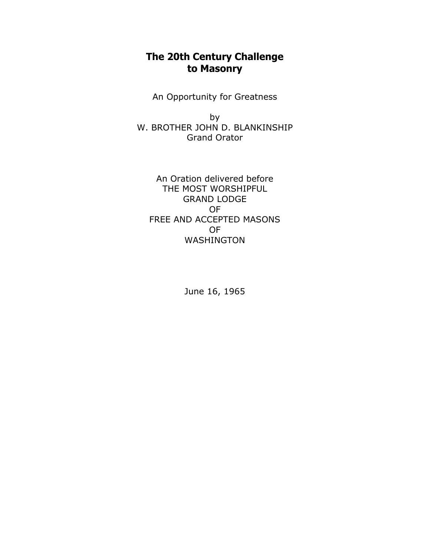## **The 20th Century Challenge to Masonry**

An Opportunity for Greatness

by W. BROTHER JOHN D. BLANKINSHIP Grand Orator

An Oration delivered before THE MOST WORSHIPFUL GRAND LODGE OF FREE AND ACCEPTED MASONS OF WASHINGTON

June 16, 1965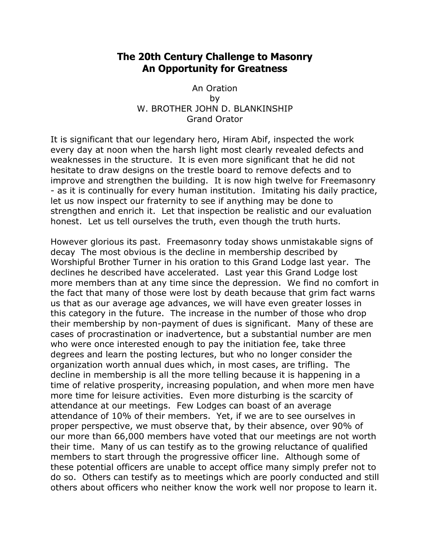## **The 20th Century Challenge to Masonry An Opportunity for Greatness**

An Oration by W. BROTHER JOHN D. BLANKINSHIP Grand Orator

It is significant that our legendary hero, Hiram Abif, inspected the work every day at noon when the harsh light most clearly revealed defects and weaknesses in the structure. It is even more significant that he did not hesitate to draw designs on the trestle board to remove defects and to improve and strengthen the building. It is now high twelve for Freemasonry - as it is continually for every human institution. Imitating his daily practice, let us now inspect our fraternity to see if anything may be done to strengthen and enrich it. Let that inspection be realistic and our evaluation honest. Let us tell ourselves the truth, even though the truth hurts.

However glorious its past. Freemasonry today shows unmistakable signs of decay The most obvious is the decline in membership described by Worshipful Brother Turner in his oration to this Grand Lodge last year. The declines he described have accelerated. Last year this Grand Lodge lost more members than at any time since the depression. We find no comfort in the fact that many of those were lost by death because that grim fact warns us that as our average age advances, we will have even greater losses in this category in the future. The increase in the number of those who drop their membership by non-payment of dues is significant. Many of these are cases of procrastination or inadvertence, but a substantial number are men who were once interested enough to pay the initiation fee, take three degrees and learn the posting lectures, but who no longer consider the organization worth annual dues which, in most cases, are trifling. The decline in membership is all the more telling because it is happening in a time of relative prosperity, increasing population, and when more men have more time for leisure activities. Even more disturbing is the scarcity of attendance at our meetings. Few Lodges can boast of an average attendance of 10% of their members. Yet, if we are to see ourselves in proper perspective, we must observe that, by their absence, over 90% of our more than 66,000 members have voted that our meetings are not worth their time. Many of us can testify as to the growing reluctance of qualified members to start through the progressive officer line. Although some of these potential officers are unable to accept office many simply prefer not to do so. Others can testify as to meetings which are poorly conducted and still others about officers who neither know the work well nor propose to learn it.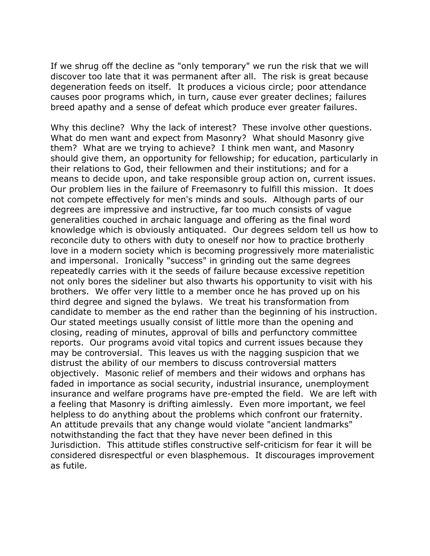If we shrug off the decline as "only temporary" we run the risk that we will discover too late that it was permanent after all. The risk is great because degeneration feeds on itself. It produces a vicious circle; poor attendance causes poor programs which, in turn, cause ever greater declines; failures breed apathy and a sense of defeat which produce ever greater failures.

Why this decline? Why the lack of interest? These involve other questions. What do men want and expect from Masonry? What should Masonry give them? What are we trying to achieve? I think men want, and Masonry should give them, an opportunity for fellowship; for education, particularly in their relations to God, their fellowmen and their institutions; and for a means to decide upon, and take responsible group action on, current issues. Our problem lies in the failure of Freemasonry to fulfill this mission. It does not compete effectively for men's minds and souls. Although parts of our degrees are impressive and instructive, far too much consists of vague generalities couched in archaic language and offering as the final word knowledge which is obviously antiquated. Our degrees seldom tell us how to reconcile duty to others with duty to oneself nor how to practice brotherly love in a modern society which is becoming progressively more materialistic and impersonal. Ironically "success" in grinding out the same degrees repeatedly carries with it the seeds of failure because excessive repetition not only bores the sideliner but also thwarts his opportunity to visit with his brothers. We offer very little to a member once he has proved up on his third degree and signed the bylaws. We treat his transformation from candidate to member as the end rather than the beginning of his instruction. Our stated meetings usually consist of little more than the opening and closing, reading of minutes, approval of bills and perfunctory committee reports. Our programs avoid vital topics and current issues because they may be controversial. This leaves us with the nagging suspicion that we distrust the ability of our members to discuss controversial matters objectively. Masonic relief of members and their widows and orphans has faded in importance as social security, industrial insurance, unemployment insurance and welfare programs have pre-empted the field. We are left with a feeling that Masonry is drifting aimlessly. Even more important, we feel helpless to do anything about the problems which confront our fraternity. An attitude prevails that any change would violate "ancient landmarks" notwithstanding the fact that they have never been defined in this Jurisdiction. This attitude stifles constructive self-criticism for fear it will be considered disrespectful or even blasphemous. It discourages improvement as futile.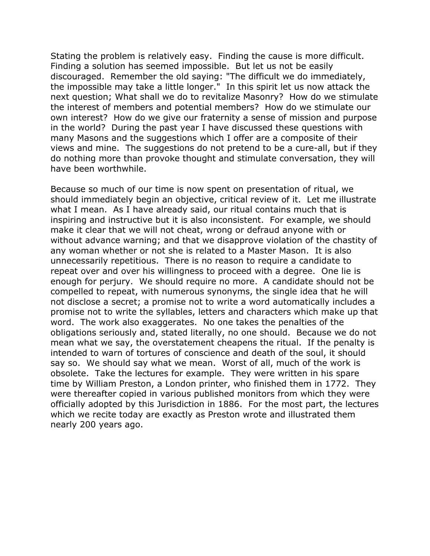Stating the problem is relatively easy. Finding the cause is more difficult. Finding a solution has seemed impossible. But let us not be easily discouraged. Remember the old saying: "The difficult we do immediately, the impossible may take a little longer." In this spirit let us now attack the next question; What shall we do to revitalize Masonry? How do we stimulate the interest of members and potential members? How do we stimulate our own interest? How do we give our fraternity a sense of mission and purpose in the world? During the past year I have discussed these questions with many Masons and the suggestions which I offer are a composite of their views and mine. The suggestions do not pretend to be a cure-all, but if they do nothing more than provoke thought and stimulate conversation, they will have been worthwhile.

Because so much of our time is now spent on presentation of ritual, we should immediately begin an objective, critical review of it. Let me illustrate what I mean. As I have already said, our ritual contains much that is inspiring and instructive but it is also inconsistent. For example, we should make it clear that we will not cheat, wrong or defraud anyone with or without advance warning; and that we disapprove violation of the chastity of any woman whether or not she is related to a Master Mason. It is also unnecessarily repetitious. There is no reason to require a candidate to repeat over and over his willingness to proceed with a degree. One lie is enough for perjury. We should require no more. A candidate should not be compelled to repeat, with numerous synonyms, the single idea that he will not disclose a secret; a promise not to write a word automatically includes a promise not to write the syllables, letters and characters which make up that word. The work also exaggerates. No one takes the penalties of the obligations seriously and, stated literally, no one should. Because we do not mean what we say, the overstatement cheapens the ritual. If the penalty is intended to warn of tortures of conscience and death of the soul, it should say so. We should say what we mean. Worst of all, much of the work is obsolete. Take the lectures for example. They were written in his spare time by William Preston, a London printer, who finished them in 1772. They were thereafter copied in various published monitors from which they were officially adopted by this Jurisdiction in 1886. For the most part, the lectures which we recite today are exactly as Preston wrote and illustrated them nearly 200 years ago.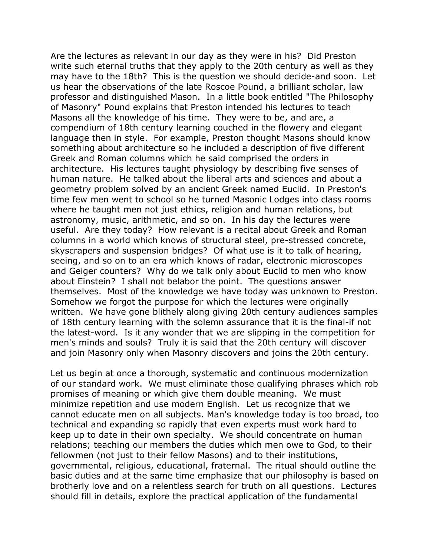Are the lectures as relevant in our day as they were in his? Did Preston write such eternal truths that they apply to the 20th century as well as they may have to the 18th? This is the question we should decide-and soon. Let us hear the observations of the late Roscoe Pound, a brilliant scholar, law professor and distinguished Mason. In a little book entitled "The Philosophy of Masonry" Pound explains that Preston intended his lectures to teach Masons all the knowledge of his time. They were to be, and are, a compendium of 18th century learning couched in the flowery and elegant language then in style. For example, Preston thought Masons should know something about architecture so he included a description of five different Greek and Roman columns which he said comprised the orders in architecture. His lectures taught physiology by describing five senses of human nature. He talked about the liberal arts and sciences and about a geometry problem solved by an ancient Greek named Euclid. In Preston's time few men went to school so he turned Masonic Lodges into class rooms where he taught men not just ethics, religion and human relations, but astronomy, music, arithmetic, and so on. In his day the lectures were useful. Are they today? How relevant is a recital about Greek and Roman columns in a world which knows of structural steel, pre-stressed concrete, skyscrapers and suspension bridges? Of what use is it to talk of hearing, seeing, and so on to an era which knows of radar, electronic microscopes and Geiger counters? Why do we talk only about Euclid to men who know about Einstein? I shall not belabor the point. The questions answer themselves. Most of the knowledge we have today was unknown to Preston. Somehow we forgot the purpose for which the lectures were originally written. We have gone blithely along giving 20th century audiences samples of 18th century learning with the solemn assurance that it is the final-if not the latest-word. Is it any wonder that we are slipping in the competition for men's minds and souls? Truly it is said that the 20th century will discover and join Masonry only when Masonry discovers and joins the 20th century.

Let us begin at once a thorough, systematic and continuous modernization of our standard work. We must eliminate those qualifying phrases which rob promises of meaning or which give them double meaning. We must minimize repetition and use modern English. Let us recognize that we cannot educate men on all subjects. Man's knowledge today is too broad, too technical and expanding so rapidly that even experts must work hard to keep up to date in their own specialty. We should concentrate on human relations; teaching our members the duties which men owe to God, to their fellowmen (not just to their fellow Masons) and to their institutions, governmental, religious, educational, fraternal. The ritual should outline the basic duties and at the same time emphasize that our philosophy is based on brotherly love and on a relentless search for truth on all questions. Lectures should fill in details, explore the practical application of the fundamental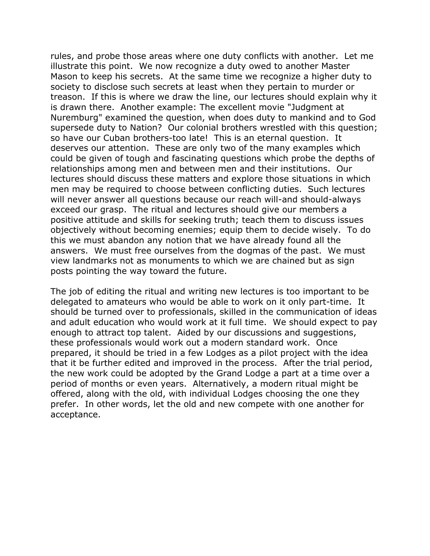rules, and probe those areas where one duty conflicts with another. Let me illustrate this point. We now recognize a duty owed to another Master Mason to keep his secrets. At the same time we recognize a higher duty to society to disclose such secrets at least when they pertain to murder or treason. If this is where we draw the line, our lectures should explain why it is drawn there. Another example: The excellent movie "Judgment at Nuremburg" examined the question, when does duty to mankind and to God supersede duty to Nation? Our colonial brothers wrestled with this question; so have our Cuban brothers-too late! This is an eternal question. It deserves our attention. These are only two of the many examples which could be given of tough and fascinating questions which probe the depths of relationships among men and between men and their institutions. Our lectures should discuss these matters and explore those situations in which men may be required to choose between conflicting duties. Such lectures will never answer all questions because our reach will-and should-always exceed our grasp. The ritual and lectures should give our members a positive attitude and skills for seeking truth; teach them to discuss issues objectively without becoming enemies; equip them to decide wisely. To do this we must abandon any notion that we have already found all the answers. We must free ourselves from the dogmas of the past. We must view landmarks not as monuments to which we are chained but as sign posts pointing the way toward the future.

The job of editing the ritual and writing new lectures is too important to be delegated to amateurs who would be able to work on it only part-time. It should be turned over to professionals, skilled in the communication of ideas and adult education who would work at it full time. We should expect to pay enough to attract top talent. Aided by our discussions and suggestions, these professionals would work out a modern standard work. Once prepared, it should be tried in a few Lodges as a pilot project with the idea that it be further edited and improved in the process. After the trial period, the new work could be adopted by the Grand Lodge a part at a time over a period of months or even years. Alternatively, a modern ritual might be offered, along with the old, with individual Lodges choosing the one they prefer. In other words, let the old and new compete with one another for acceptance.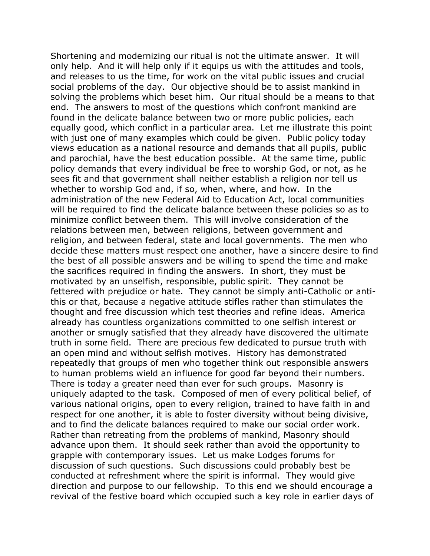Shortening and modernizing our ritual is not the ultimate answer. It will only help. And it will help only if it equips us with the attitudes and tools, and releases to us the time, for work on the vital public issues and crucial social problems of the day. Our objective should be to assist mankind in solving the problems which beset him. Our ritual should be a means to that end. The answers to most of the questions which confront mankind are found in the delicate balance between two or more public policies, each equally good, which conflict in a particular area. Let me illustrate this point with just one of many examples which could be given. Public policy today views education as a national resource and demands that all pupils, public and parochial, have the best education possible. At the same time, public policy demands that every individual be free to worship God, or not, as he sees fit and that government shall neither establish a religion nor tell us whether to worship God and, if so, when, where, and how. In the administration of the new Federal Aid to Education Act, local communities will be required to find the delicate balance between these policies so as to minimize conflict between them. This will involve consideration of the relations between men, between religions, between government and religion, and between federal, state and local governments. The men who decide these matters must respect one another, have a sincere desire to find the best of all possible answers and be willing to spend the time and make the sacrifices required in finding the answers. In short, they must be motivated by an unselfish, responsible, public spirit. They cannot be fettered with prejudice or hate. They cannot be simply anti-Catholic or antithis or that, because a negative attitude stifles rather than stimulates the thought and free discussion which test theories and refine ideas. America already has countless organizations committed to one selfish interest or another or smugly satisfied that they already have discovered the ultimate truth in some field. There are precious few dedicated to pursue truth with an open mind and without selfish motives. History has demonstrated repeatedly that groups of men who together think out responsible answers to human problems wield an influence for good far beyond their numbers. There is today a greater need than ever for such groups. Masonry is uniquely adapted to the task. Composed of men of every political belief, of various national origins, open to every religion, trained to have faith in and respect for one another, it is able to foster diversity without being divisive, and to find the delicate balances required to make our social order work. Rather than retreating from the problems of mankind, Masonry should advance upon them. It should seek rather than avoid the opportunity to grapple with contemporary issues. Let us make Lodges forums for discussion of such questions. Such discussions could probably best be conducted at refreshment where the spirit is informal. They would give direction and purpose to our fellowship. To this end we should encourage a revival of the festive board which occupied such a key role in earlier days of